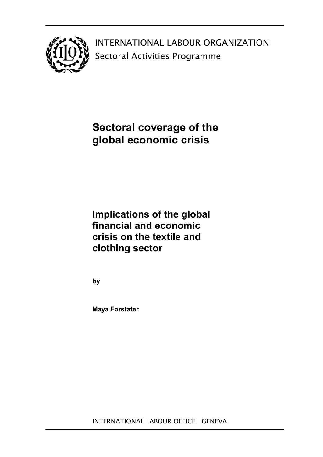

INTERNATIONAL LABOUR ORGANIZATION Sectoral Activities Programme

# **Sectoral coverage of the global economic crisis**

# **Implications of the global financial and economic crisis on the textile and clothing sector**

**by** 

**Maya Forstater**

INTERNATIONAL LABOUR OFFICE GENEVA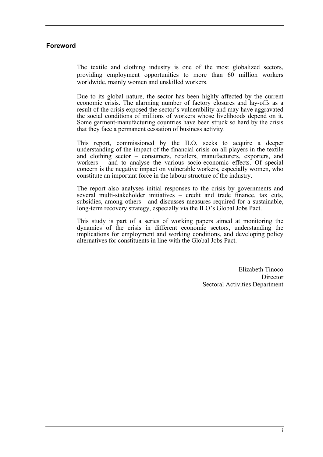## **Foreword**

The textile and clothing industry is one of the most globalized sectors, providing employment opportunities to more than 60 million workers worldwide, mainly women and unskilled workers.

Due to its global nature, the sector has been highly affected by the current economic crisis. The alarming number of factory closures and lay-offs as a result of the crisis exposed the sector's vulnerability and may have aggravated the social conditions of millions of workers whose livelihoods depend on it. Some garment-manufacturing countries have been struck so hard by the crisis that they face a permanent cessation of business activity.

This report, commissioned by the ILO, seeks to acquire a deeper understanding of the impact of the financial crisis on all players in the textile and clothing sector – consumers, retailers, manufacturers, exporters, and workers – and to analyse the various socio-economic effects. Of special concern is the negative impact on vulnerable workers, especially women, who constitute an important force in the labour structure of the industry.

The report also analyses initial responses to the crisis by governments and several multi-stakeholder initiatives – credit and trade finance, tax cuts, subsidies, among others - and discusses measures required for a sustainable, long-term recovery strategy, especially via the ILO's Global Jobs Pact.

This study is part of a series of working papers aimed at monitoring the dynamics of the crisis in different economic sectors, understanding the implications for employment and working conditions, and developing policy alternatives for constituents in line with the Global Jobs Pact.

> Elizabeth Tinoco **Director** Sectoral Activities Department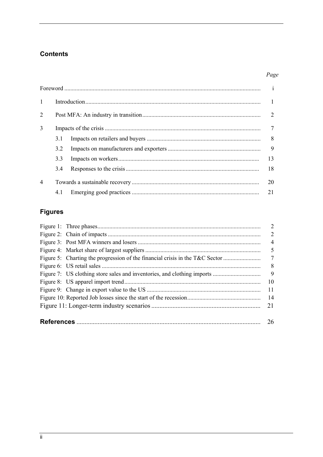## **Contents**

## Page

|                |     | $\begin{minipage}[c]{0.9\linewidth} \vspace{0.1cm} \begin{minipage}[c]{0.9cm} \begin{minipage}[c]{0.9cm} \begin{minipage}[c]{0.9cm} \begin{minipage}[c]{0.9cm} \begin{minipage}[c]{0.9cm} \begin{minipage}[c]{0.9cm} \begin{minipage}[c]{0.9cm} \begin{minipage}[c]{0.9cm} \begin{minipage}[c]{0.9cm} \begin{minipage}[c]{0.9cm} \begin{minipage}[c]{0.9cm} \begin{minipage}[c]{0.9cm} \begin{minipage}[c]{0.9cm} \begin{minipage}[c]{0.9cm}$ |    |
|----------------|-----|-----------------------------------------------------------------------------------------------------------------------------------------------------------------------------------------------------------------------------------------------------------------------------------------------------------------------------------------------------------------------------------------------------------------------------------------------|----|
| $\mathbf{1}$   |     |                                                                                                                                                                                                                                                                                                                                                                                                                                               |    |
| 2              |     |                                                                                                                                                                                                                                                                                                                                                                                                                                               |    |
| 3              | 7   |                                                                                                                                                                                                                                                                                                                                                                                                                                               |    |
|                | 3.1 |                                                                                                                                                                                                                                                                                                                                                                                                                                               |    |
|                | 3.2 |                                                                                                                                                                                                                                                                                                                                                                                                                                               |    |
|                | 3.3 |                                                                                                                                                                                                                                                                                                                                                                                                                                               | 13 |
|                | 3.4 |                                                                                                                                                                                                                                                                                                                                                                                                                                               | 18 |
| $\overline{4}$ |     |                                                                                                                                                                                                                                                                                                                                                                                                                                               | 20 |
|                | 4.1 |                                                                                                                                                                                                                                                                                                                                                                                                                                               | 21 |

# **Figures**

|     |                                                                              | $\overline{4}$ |  |  |
|-----|------------------------------------------------------------------------------|----------------|--|--|
|     |                                                                              | 5              |  |  |
|     | Figure 5: Charting the progression of the financial crisis in the T&C Sector | 7              |  |  |
|     |                                                                              | 8 <sup>8</sup> |  |  |
|     |                                                                              | $\overline{9}$ |  |  |
|     |                                                                              | -10            |  |  |
|     |                                                                              | <sup>11</sup>  |  |  |
| -14 |                                                                              |                |  |  |
| 21  |                                                                              |                |  |  |
|     |                                                                              |                |  |  |
| 26  |                                                                              |                |  |  |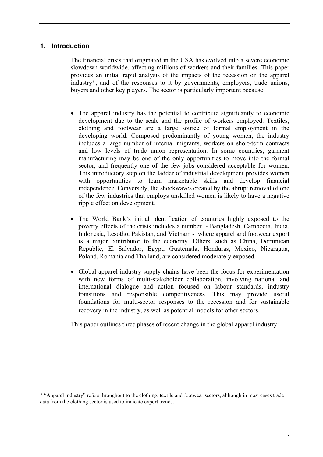## **1. Introduction**

The financial crisis that originated in the USA has evolved into a severe economic slowdown worldwide, affecting millions of workers and their families. This paper provides an initial rapid analysis of the impacts of the recession on the apparel industry\*, and of the responses to it by governments, employers, trade unions, buyers and other key players. The sector is particularly important because:

- The apparel industry has the potential to contribute significantly to economic development due to the scale and the profile of workers employed. Textiles, clothing and footwear are a large source of formal employment in the developing world. Composed predominantly of young women, the industry includes a large number of internal migrants, workers on short-term contracts and low levels of trade union representation. In some countries, garment manufacturing may be one of the only opportunities to move into the formal sector, and frequently one of the few jobs considered acceptable for women. This introductory step on the ladder of industrial development provides women with opportunities to learn marketable skills and develop financial independence. Conversely, the shockwaves created by the abrupt removal of one of the few industries that employs unskilled women is likely to have a negative ripple effect on development.
- The World Bank's initial identification of countries highly exposed to the poverty effects of the crisis includes a number - Bangladesh, Cambodia, India, Indonesia, Lesotho, Pakistan, and Vietnam - where apparel and footwear export is a major contributor to the economy. Others, such as China, Dominican Republic, El Salvador, Egypt, Guatemala, Honduras, Mexico, Nicaragua, Poland, Romania and Thailand, are considered moderately exposed.<sup>1</sup>
- Global apparel industry supply chains have been the focus for experimentation with new forms of multi-stakeholder collaboration, involving national and international dialogue and action focused on labour standards, industry transitions and responsible competitiveness. This may provide useful foundations for multi-sector responses to the recession and for sustainable recovery in the industry, as well as potential models for other sectors.

This paper outlines three phases of recent change in the global apparel industry:

<sup>\* &</sup>quot;Apparel industry" refers throughout to the clothing, textile and footwear sectors, although in most cases trade data from the clothing sector is used to indicate export trends.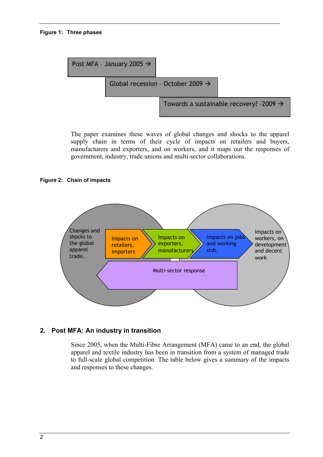#### **Figure 1: Three phases**



The paper examines these waves of global changes and shocks to the apparel supply chain in terms of their cycle of impacts on retailers and buyers, manufacturers and exporters, and on workers, and it maps out the responses of government, industry, trade unions and multi-sector collaborations.

#### **Figure 2: Chain of impacts**



#### **2. Post MFA: An industry in transition**

Since 2005, when the Multi-Fibre Arrangement (MFA) came to an end, the global apparel and textile industry has been in transition from a system of managed trade to full-scale global competition. The table below gives a summary of the impacts and responses to these changes.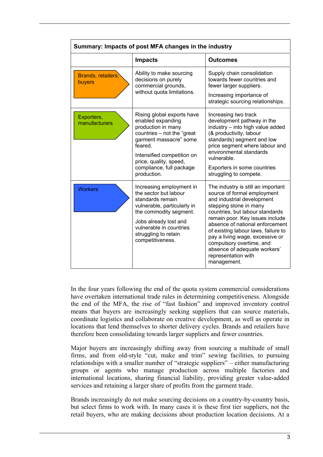| Summary: Impacts of post MFA changes in the industry |                                                                                                                                                                                                                                             |                                                                                                                                                                                                                                                                                                                                                                                                                |  |
|------------------------------------------------------|---------------------------------------------------------------------------------------------------------------------------------------------------------------------------------------------------------------------------------------------|----------------------------------------------------------------------------------------------------------------------------------------------------------------------------------------------------------------------------------------------------------------------------------------------------------------------------------------------------------------------------------------------------------------|--|
|                                                      | <b>Impacts</b>                                                                                                                                                                                                                              | <b>Outcomes</b>                                                                                                                                                                                                                                                                                                                                                                                                |  |
| Brands, retailers,<br>buyers                         | Ability to make sourcing<br>decisions on purely<br>commercial grounds,<br>without quota limitations.                                                                                                                                        | Supply chain consolidation<br>towards fewer countries and<br>fewer larger suppliers.<br>Increasing importance of<br>strategic sourcing relationships.                                                                                                                                                                                                                                                          |  |
| Exporters,<br>manufacturers                          | Rising global exports have<br>enabled expanding<br>production in many<br>countries - not the "great<br>garment massacre" some<br>feared.<br>Intensified competition on<br>price, quality, speed,<br>compliance, full package<br>production. | Increasing two track<br>development pathway in the<br>industry - into high value added<br>(& productivity, labour<br>standards) segment and low<br>price segment where labour and<br>environmental standards<br>vulnerable.<br>Exporters in some countries<br>struggling to compete.                                                                                                                           |  |
| <b>Workers</b>                                       | Increasing employment in<br>the sector but labour<br>standards remain<br>vulnerable, particularly in<br>the commodity segment.<br>Jobs already lost and<br>vulnerable in countries<br>struggling to retain<br>competitiveness.              | The industry is still an important<br>source of formal employment<br>and industrial development<br>stepping stone in many<br>countries, but labour standards<br>remain poor. Key issues include<br>absence of national enforcement<br>of existing labour laws, failure to<br>pay a living wage, excessive or<br>compulsory overtime, and<br>absence of adequate workers'<br>representation with<br>management. |  |

In the four years following the end of the quota system commercial considerations have overtaken international trade rules in determining competitiveness. Alongside the end of the MFA, the rise of "fast fashion" and improved inventory control means that buyers are increasingly seeking suppliers that can source materials, coordinate logistics and collaborate on creative development, as well as operate in locations that lend themselves to shorter delivery cycles. Brands and retailers have therefore been consolidating towards larger suppliers and fewer countries.

Major buyers are increasingly shifting away from sourcing a multitude of small firms, and from old-style "cut, make and trim" sewing facilities, to pursuing relationships with a smaller number of "strategic suppliers" – either manufacturing groups or agents who manage production across multiple factories and international locations, sharing financial liability, providing greater value-added services and retaining a larger share of profits from the garment trade.

Brands increasingly do not make sourcing decisions on a country-by-country basis, but select firms to work with. In many cases it is these first tier suppliers, not the retail buyers, who are making decisions about production location decisions. At a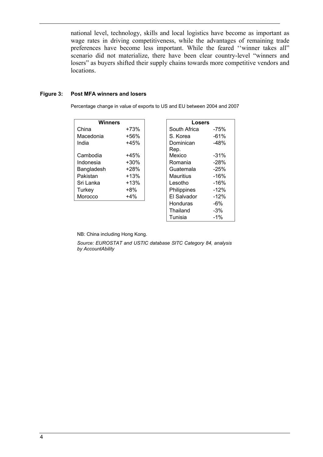national level, technology, skills and local logistics have become as important as wage rates in driving competitiveness, while the advantages of remaining trade preferences have become less important. While the feared ''winner takes all" scenario did not materialize, there have been clear country-level "winners and losers" as buyers shifted their supply chains towards more competitive vendors and locations.

#### **Figure 3: Post MFA winners and losers**

Percentage change in value of exports to US and EU between 2004 and 2007

| <b>Winners</b>    |        |              | Losers  |  |
|-------------------|--------|--------------|---------|--|
| China             | $+73%$ | South Africa | -75%    |  |
| Macedonia         | +56%   | S. Korea     | $-61%$  |  |
| India             | $+45%$ | Dominican    | $-48%$  |  |
|                   |        | Rep.         |         |  |
| Cambodia          | $+45%$ | Mexico       | $-31%$  |  |
| Indonesia         | $+30%$ | Romania      | $-28%$  |  |
| Bangladesh        | $+28%$ | Guatemala    | $-25%$  |  |
| Pakistan          | $+13%$ | Mauritius    | -16%    |  |
| Sri Lanka         | $+13%$ | Lesotho      | -16%    |  |
| Turkey            | $+8\%$ | Philippines  | $-12\%$ |  |
| Morocco<br>$+4\%$ |        | El Salvador  | $-12%$  |  |
|                   |        | Honduras     | -6%     |  |

| <b>Winners</b> |         | Losers           |         |
|----------------|---------|------------------|---------|
| China          | $+73%$  | South Africa     | $-75%$  |
| Macedonia      | +56%    | S. Korea         | $-61%$  |
| India          | $+45%$  | Dominican        | $-48%$  |
|                |         | Rep.             |         |
| Cambodia       | $+45%$  | Mexico           | $-31%$  |
| Indonesia      | $+30\%$ | Romania          | $-28%$  |
| Bangladesh     | $+28%$  | Guatemala        | $-25%$  |
| Pakistan       | $+13%$  | <b>Mauritius</b> | $-16%$  |
| Sri Lanka      | $+13%$  | Lesotho          | -16%    |
| Turkey         | $+8\%$  | Philippines      | $-12\%$ |
| Morocco        | $+4\%$  | El Salvador      | $-12\%$ |
|                |         | Honduras         | -6%     |
|                |         | Thailand         | -3%     |
|                |         | Tunisia          | $-1\%$  |
|                |         |                  |         |

NB: China including Hong Kong.

*Source: EUROSTAT and USTIC database SITC Category 84, analysis by AccountAbility*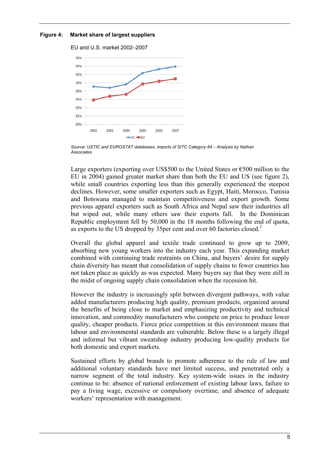#### **Figure 4: Market share of largest suppliers**

EU and U.S. market 2002–2007



*Source: USTIC and EUROSTAT databases, imports of SITC Category 84 – Analysis by Nathan Associates* 

Large exporters (exporting over US\$500 to the United States or  $\epsilon$ 500 million to the EU in 2004) gained greater market share than both the EU and US (see figure 2), while small countries exporting less than this generally experienced the steepest declines. However, some smaller exporters such as Egypt, Haiti, Morocco, Tunisia and Botswana managed to maintain competitiveness and export growth. Some previous apparel exporters such as South Africa and Nepal saw their industries all but wiped out, while many others saw their exports fall. In the Dominican Republic employment fell by 50,000 in the 18 months following the end of quota, as exports to the US dropped by 35per cent and over 60 factories closed.<sup>2</sup>

Overall the global apparel and textile trade continued to grow up to 2009, absorbing new young workers into the industry each year. This expanding market combined with continuing trade restraints on China, and buyers' desire for supply chain diversity has meant that consolidation of supply chains to fewer countries has not taken place as quickly as was expected. Many buyers say that they were still in the midst of ongoing supply chain consolidation when the recession hit.

However the industry is increasingly split between divergent pathways, with value added manufacturers producing high quality, premium products, organized around the benefits of being close to market and emphasizing productivity and technical innovation, and commodity manufacturers who compete on price to produce lower quality, cheaper products. Fierce price competition in this environment means that labour and environmental standards are vulnerable. Below these is a largely illegal and informal but vibrant sweatshop industry producing low-quality products for both domestic and export markets.

Sustained efforts by global brands to promote adherence to the rule of law and additional voluntary standards have met limited success, and penetrated only a narrow segment of the total industry. Key system-wide issues in the industry continue to be: absence of national enforcement of existing labour laws, failure to pay a living wage, excessive or compulsory overtime, and absence of adequate workers' representation with management.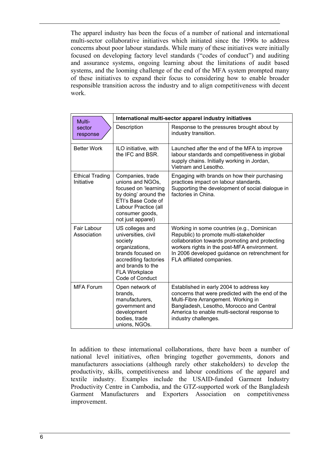The apparel industry has been the focus of a number of national and international multi-sector collaborative initiatives which initiated since the 1990s to address concerns about poor labour standards. While many of these initiatives were initially focused on developing factory level standards ("codes of conduct") and auditing and assurance systems, ongoing learning about the limitations of audit based systems, and the looming challenge of the end of the MFA system prompted many of these initiatives to expand their focus to considering how to enable broader responsible transition across the industry and to align competitiveness with decent work.

| Multi-                               | International multi-sector apparel industry initiatives                                                                                                                           |                                                                                                                                                                                                                                                                      |  |
|--------------------------------------|-----------------------------------------------------------------------------------------------------------------------------------------------------------------------------------|----------------------------------------------------------------------------------------------------------------------------------------------------------------------------------------------------------------------------------------------------------------------|--|
| sector<br>response                   | Description                                                                                                                                                                       | Response to the pressures brought about by<br>industry transition.                                                                                                                                                                                                   |  |
| <b>Better Work</b>                   | ILO initiative, with<br>the IFC and BSR.                                                                                                                                          | Launched after the end of the MFA to improve<br>labour standards and competitiveness in global<br>supply chains. Initially working in Jordan,<br>Vietnam and Lesotho.                                                                                                |  |
| <b>Ethical Trading</b><br>Initiative | Companies, trade<br>unions and NGOs.<br>focused on 'learning<br>by doing' around the<br>ETI's Base Code of<br>Labour Practice (all<br>consumer goods,<br>not just apparel)        | Engaging with brands on how their purchasing<br>practices impact on labour standards.<br>Supporting the development of social dialogue in<br>factories in China.                                                                                                     |  |
| Fair Labour<br>Association           | US colleges and<br>universities, civil<br>society<br>organizations,<br>brands focused on<br>accrediting factories<br>and brands to the<br><b>FLA Workplace</b><br>Code of Conduct | Working in some countries (e.g., Dominican<br>Republic) to promote multi-stakeholder<br>collaboration towards promoting and protecting<br>workers rights in the post-MFA environment.<br>In 2006 developed guidance on retrenchment for<br>FLA affiliated companies. |  |
| <b>MFA Forum</b>                     | Open network of<br>brands.<br>manufacturers,<br>government and<br>development<br>bodies, trade<br>unions, NGOs.                                                                   | Established in early 2004 to address key<br>concerns that were predicted with the end of the<br>Multi-Fibre Arrangement. Working in<br>Bangladesh, Lesotho, Morocco and Central<br>America to enable multi-sectoral response to<br>industry challenges.              |  |

In addition to these international collaborations, there have been a number of national level initiatives, often bringing together governments, donors and manufacturers associations (although rarely other stakeholders) to develop the productivity, skills, competitiveness and labour conditions of the apparel and textile industry. Examples include the USAID-funded Garment Industry Productivity Centre in Cambodia, and the GTZ-supported work of the Bangladesh Garment Manufacturers and Exporters Association on competitiveness improvement.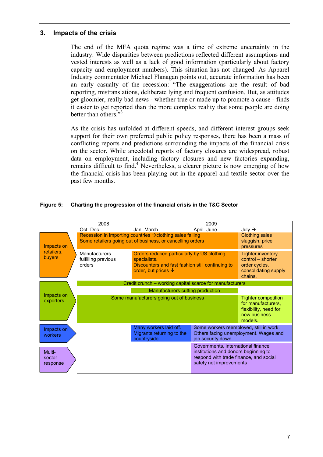### **3. Impacts of the crisis**

The end of the MFA quota regime was a time of extreme uncertainty in the industry. Wide disparities between predictions reflected different assumptions and vested interests as well as a lack of good information (particularly about factory capacity and employment numbers). This situation has not changed. As Apparel Industry commentator Michael Flanagan points out, accurate information has been an early casualty of the recession: "The exaggerations are the result of bad reporting, mistranslations, deliberate lying and frequent confusion. But, as attitudes get gloomier, really bad news - whether true or made up to promote a cause - finds it easier to get reported than the more complex reality that some people are doing better than others."<sup>3</sup>

As the crisis has unfolded at different speeds, and different interest groups seek support for their own preferred public policy responses, there has been a mass of conflicting reports and predictions surrounding the impacts of the financial crisis on the sector. While anecdotal reports of factory closures are widespread, robust data on employment, including factory closures and new factories expanding, remains difficult to find.<sup>4</sup> Nevertheless, a clearer picture is now emerging of how the financial crisis has been playing out in the apparel and textile sector over the past few months.

#### **Figure 5: Charting the progression of the financial crisis in the T&C Sector**

|                              | 2008                                                     |                                                                                                                                                  | 2009                                                                                                                                            |                                                                                                      |  |
|------------------------------|----------------------------------------------------------|--------------------------------------------------------------------------------------------------------------------------------------------------|-------------------------------------------------------------------------------------------------------------------------------------------------|------------------------------------------------------------------------------------------------------|--|
|                              | Oct-Dec                                                  | Jan- March                                                                                                                                       | April- June                                                                                                                                     | July $\rightarrow$                                                                                   |  |
| Impacts on                   |                                                          | Recession in importing countries $\rightarrow$ clothing sales falling<br>Some retailers going out of business, or cancelling orders              |                                                                                                                                                 | <b>Clothing sales</b><br>sluggish, price<br>pressures                                                |  |
| retailers,<br>buyers         | <b>Manufacturers</b><br>fulfilling previous<br>orders    | Orders reduced particularly by US clothing<br>specialists.<br>Discounters and fast fashion still continuing to<br>order, but prices $\downarrow$ |                                                                                                                                                 | <b>Tighter inventory</b><br>control - shorter<br>order cycles,<br>consolidating supply<br>chains.    |  |
|                              | Credit crunch - working capital scarce for manufacturers |                                                                                                                                                  |                                                                                                                                                 |                                                                                                      |  |
|                              |                                                          | Manufacturers cutting production                                                                                                                 |                                                                                                                                                 |                                                                                                      |  |
| Impacts on<br>exporters      |                                                          | Some manufacturers going out of business                                                                                                         |                                                                                                                                                 | <b>Tighter competition</b><br>for manufacturers,<br>flexibility, need for<br>new business<br>models. |  |
| Impacts on<br>workers        |                                                          | Many workers laid off.<br>Migrants returning to the<br>countryside.                                                                              | Some workers reemployed, still in work.<br>job security down.                                                                                   | Others facing unemployment. Wages and                                                                |  |
| Multi-<br>sector<br>response |                                                          |                                                                                                                                                  | Governments, international finance<br>institutions and donors beginning to<br>respond with trade finance, and social<br>safety net improvements |                                                                                                      |  |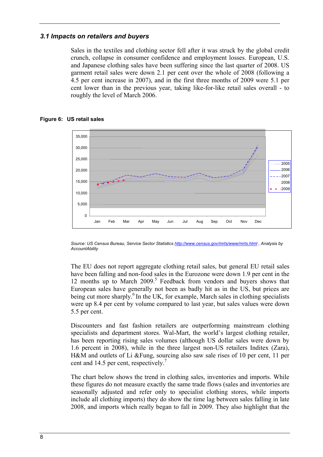## *3.1 Impacts on retailers and buyers*

Sales in the textiles and clothing sector fell after it was struck by the global credit crunch, collapse in consumer confidence and employment losses. European, U.S. and Japanese clothing sales have been suffering since the last quarter of 2008. US garment retail sales were down 2.1 per cent over the whole of 2008 (following a 4.5 per cent increase in 2007), and in the first three months of 2009 were 5.1 per cent lower than in the previous year, taking like-for-like retail sales overall - to roughly the level of March 2006.



#### **Figure 6: US retail sales**

*Source: US Census Bureau, Service Sector Statistics http://www.census.gov/mrts/www/mrts.html , Analysis by AccountAbility* 

The EU does not report aggregate clothing retail sales, but general EU retail sales have been falling and non-food sales in the Eurozone were down 1.9 per cent in the 12 months up to March 2009.<sup>5</sup> Feedback from vendors and buyers shows that European sales have generally not been as badly hit as in the US, but prices are being cut more sharply.<sup>6</sup> In the UK, for example, March sales in clothing specialists were up 8.4 per cent by volume compared to last year, but sales values were down 5.5 per cent.

Discounters and fast fashion retailers are outperforming mainstream clothing specialists and department stores. Wal-Mart, the world's largest clothing retailer, has been reporting rising sales volumes (although US dollar sales were down by 1.6 percent in 2008), while in the three largest non-US retailers Inditex (Zara), H&M and outlets of Li &Fung, sourcing also saw sale rises of 10 per cent, 11 per cent and 14.5 per cent, respectively.<sup>7</sup>

The chart below shows the trend in clothing sales, inventories and imports. While these figures do not measure exactly the same trade flows (sales and inventories are seasonally adjusted and refer only to specialist clothing stores, while imports include all clothing imports) they do show the time lag between sales falling in late 2008, and imports which really began to fall in 2009. They also highlight that the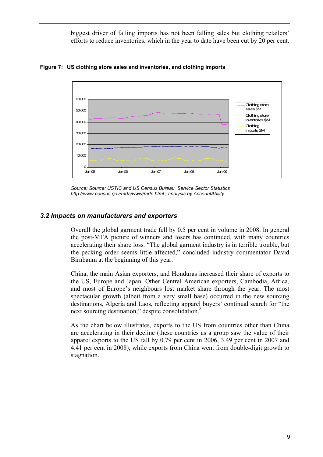biggest driver of falling imports has not been falling sales but clothing retailers' efforts to reduce inventories, which in the year to date have been cut by 20 per cent.



**Figure 7: US clothing store sales and inventories, and clothing imports** 

#### *3.2 Impacts on manufacturers and exporters*

Overall the global garment trade fell by 0.5 per cent in volume in 2008. In general the post-MFA picture of winners and losers has continued, with many countries accelerating their share loss. "The global garment industry is in terrible trouble, but the pecking order seems little affected," concluded industry commentator David Birnbaum at the beginning of this year.

China, the main Asian exporters, and Honduras increased their share of exports to the US, Europe and Japan. Other Central American exporters, Cambodia, Africa, and most of Europe's neighbours lost market share through the year. The most spectacular growth (albeit from a very small base) occurred in the new sourcing destinations, Algeria and Laos, reflecting apparel buyers' continual search for "the next sourcing destination," despite consolidation.<sup>8</sup>

As the chart below illustrates, exports to the US from countries other than China are accelerating in their decline (these countries as a group saw the value of their apparel exports to the US fall by 0.79 per cent in 2006, 3.49 per cent in 2007 and 4.41 per cent in 2008), while exports from China went from double-digit growth to stagnation.

*Source: Source: USTIC and US Census Bureau, Service Sector Statistics http://www.census.gov/mrts/www/mrts.html , analysis by AccountAbility.*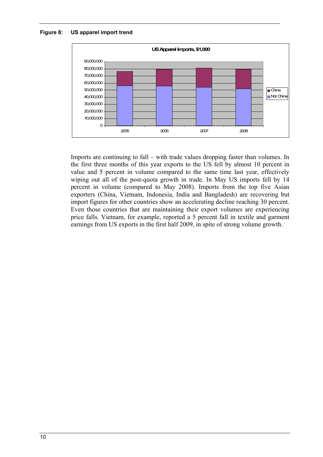**Figure 8: US apparel import trend** 



Imports are continuing to fall – with trade values dropping faster than volumes. In the first three months of this year exports to the US fell by almost 10 percent in value and 5 percent in volume compared to the same time last year, effectively wiping out all of the post-quota growth in trade. In May US imports fell by 14 percent in volume (compared to May 2008). Imports from the top five Asian exporters (China, Vietnam, Indonesia, India and Bangladesh) are recovering but import figures for other countries show an accelerating decline reaching 30 percent. Even those countries that are maintaining their export volumes are experiencing price falls. Vietnam, for example, reported a 5 percent fall in textile and garment earnings from US exports in the first half 2009, in spite of strong volume growth.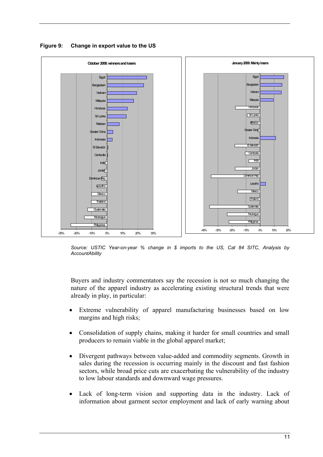

**Figure 9: Change in export value to the US** 

*Source: USTIC Year-on-year % change in \$ imports to the US, Cat 84 SITC, Analysis by AccountAbility* 

Buyers and industry commentators say the recession is not so much changing the nature of the apparel industry as accelerating existing structural trends that were already in play, in particular:

- Extreme vulnerability of apparel manufacturing businesses based on low margins and high risks;
- Consolidation of supply chains, making it harder for small countries and small producers to remain viable in the global apparel market;
- Divergent pathways between value-added and commodity segments. Growth in sales during the recession is occurring mainly in the discount and fast fashion sectors, while broad price cuts are exacerbating the vulnerability of the industry to low labour standards and downward wage pressures.
- Lack of long-term vision and supporting data in the industry. Lack of information about garment sector employment and lack of early warning about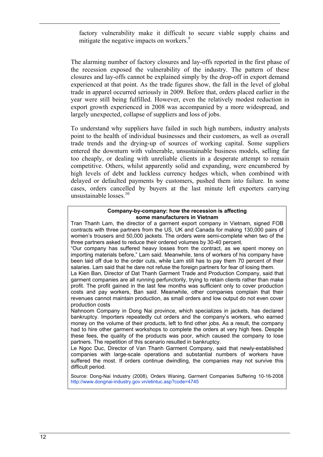factory vulnerability make it difficult to secure viable supply chains and mitigate the negative impacts on workers.<sup>9</sup>

The alarming number of factory closures and lay-offs reported in the first phase of the recession exposed the vulnerability of the industry. The pattern of these closures and lay-offs cannot be explained simply by the drop-off in export demand experienced at that point. As the trade figures show, the fall in the level of global trade in apparel occurred seriously in 2009. Before that, orders placed earlier in the year were still being fulfilled. However, even the relatively modest reduction in export growth experienced in 2008 was accompanied by a more widespread, and largely unexpected, collapse of suppliers and loss of jobs.

To understand why suppliers have failed in such high numbers, industry analysts point to the health of individual businesses and their customers, as well as overall trade trends and the drying-up of sources of working capital. Some suppliers entered the downturn with vulnerable, unsustainable business models, selling far too cheaply, or dealing with unreliable clients in a desperate attempt to remain competitive. Others, whilst apparently solid and expanding, were encumbered by high levels of debt and luckless currency hedges which, when combined with delayed or defaulted payments by customers, pushed them into failure. In some cases, orders cancelled by buyers at the last minute left exporters carrying unsustainable losses.<sup>10</sup>

#### **Company-by-company: how the recession is affecting some manufacturers in Vietnam**

Tran Thanh Lam, the director of a garment export company in Vietnam, signed FOB contracts with three partners from the US, UK and Canada for making 130,000 pairs of women's trousers and 50,000 jackets. The orders were semi-complete when two of the three partners asked to reduce their ordered volumes by 30-40 percent.

"Our company has suffered heavy losses from the contract, as we spent money on importing materials before," Lam said. Meanwhile, tens of workers of his company have been laid off due to the order cuts, while Lam still has to pay them 70 percent of their salaries. Lam said that he dare not refuse the foreign partners for fear of losing them.

La Kien Ban, Director of Dat Thanh Garment Trade and Production Company, said that garment companies are all running perfunctorily, trying to retain clients rather than make profit. The profit gained in the last few months was sufficient only to cover production costs and pay workers, Ban said. Meanwhile, other companies complain that their revenues cannot maintain production, as small orders and low output do not even cover production costs

Nahnoom Company in Dong Nai province, which specializes in jackets, has declared bankruptcy. Importers repeatedly cut orders and the company's workers, who earned money on the volume of their products, left to find other jobs. As a result, the company had to hire other garment workshops to complete the orders at very high fees. Despite these fees, the quality of the products was poor, which caused the company to lose partners. The repetition of this scenario resulted in bankruptcy.

Le Ngoc Duc, Director of Van Thanh Garment Company, said that newly-established companies with large-scale operations and substantial numbers of workers have suffered the most. If orders continue dwindling, the companies may not survive this difficult period.

Source: Dong-Nai Industry (2008), Orders Waning, Garment Companies Suffering 10-16-2008 http://www.dongnai-industry.gov.vn/etintuc.asp?code=4745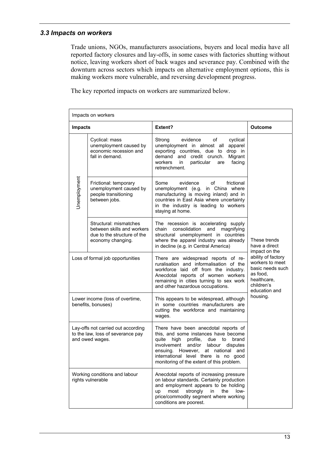## *3.3 Impacts on workers*

Trade unions, NGOs, manufacturers associations, buyers and local media have all reported factory closures and lay-offs, in some cases with factories shutting without notice, leaving workers short of back wages and severance pay. Combined with the downturn across sectors which impacts on alternative employment options, this is making workers more vulnerable, and reversing development progress.

The key reported impacts on workers are summarized below.

| Impacts on workers                                                                         |                                                                                                          |                                                                                                                                                                                                                                                                                                       |                                                                                                                     |  |
|--------------------------------------------------------------------------------------------|----------------------------------------------------------------------------------------------------------|-------------------------------------------------------------------------------------------------------------------------------------------------------------------------------------------------------------------------------------------------------------------------------------------------------|---------------------------------------------------------------------------------------------------------------------|--|
| <b>Impacts</b>                                                                             |                                                                                                          | Extent?                                                                                                                                                                                                                                                                                               | Outcome                                                                                                             |  |
|                                                                                            | Cyclical: mass<br>unemployment caused by<br>economic recession and<br>fall in demand.                    | Strong<br>evidence<br>cyclical<br>οf<br>unemployment in almost all<br>apparel<br>exporting countries, due to drop in<br>demand and credit crunch.<br>Migrant<br>workers<br>facing<br>in<br>particular<br>are<br>retrenchment.                                                                         |                                                                                                                     |  |
| Unemployment                                                                               | Frictional: temporary<br>unemployment caused by<br>people transitioning<br>between jobs.                 | Some<br>evidence<br>of<br>frictional<br>unemployment (e.g. in China where<br>manufacturing is moving inland) and in<br>countries in East Asia where uncertainty<br>in the industry is leading to workers<br>staying at home.                                                                          |                                                                                                                     |  |
|                                                                                            | Structural: mismatches<br>between skills and workers<br>due to the structure of the<br>economy changing. | The recession is accelerating supply<br>chain consolidation<br>and<br>magnifying<br>structural unemployment in countries<br>where the apparel industry was already<br>in decline (e.g. in Central America)                                                                                            | These trends<br>have a direct<br>impact on the                                                                      |  |
| Loss of formal job opportunities                                                           |                                                                                                          | There are widespread reports of re-<br>ruralisation and informalisation of the<br>workforce laid off from the industry.<br>Anecdotal reports of women workers<br>remaining in cities turning to sex work<br>and other hazardous occupations.                                                          | ability of factory<br>workers to meet<br>basic needs such<br>as food.<br>healthcare,<br>children's<br>education and |  |
| Lower income (loss of overtime,<br>benefits, bonuses)                                      |                                                                                                          | This appears to be widespread, although<br>in some countries manufacturers are<br>cutting the workforce and maintaining<br>wages.                                                                                                                                                                     | housing.                                                                                                            |  |
| Lay-offs not carried out according<br>to the law, loss of severance pay<br>and owed wages. |                                                                                                          | There have been anecdotal reports of<br>this, and some instances have become<br>quite<br>high<br>profile,<br>due<br>to<br>brand<br>involvement<br>and/or labour disputes<br>However, at national and<br>ensuing.<br>international level there is no good<br>monitoring of the extent of this problem. |                                                                                                                     |  |
| Working conditions and labour<br>rights vulnerable                                         |                                                                                                          | Anecdotal reports of increasing pressure<br>on labour standards. Certainly production<br>and employment appears to be holding<br>most<br>strongly<br>in<br>the<br>low-<br>up<br>price/commodity segment where working<br>conditions are poorest.                                                      |                                                                                                                     |  |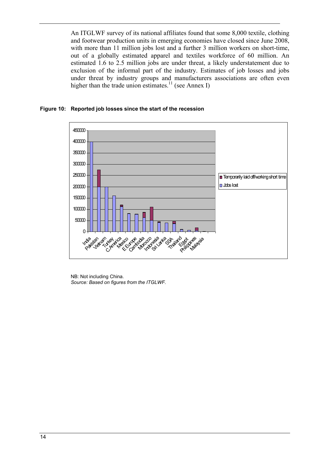An ITGLWF survey of its national affiliates found that some 8,000 textile, clothing and footwear production units in emerging economies have closed since June 2008, with more than 11 million jobs lost and a further 3 million workers on short-time, out of a globally estimated apparel and textiles workforce of 60 million. An estimated 1.6 to 2.5 million jobs are under threat, a likely understatement due to exclusion of the informal part of the industry. Estimates of job losses and jobs under threat by industry groups and manufacturers associations are often even higher than the trade union estimates.<sup>11</sup> (see Annex I)

#### **Figure 10: Reported job losses since the start of the recession**



NB: Not including China. *Source: Based on figures from the ITGLWF.*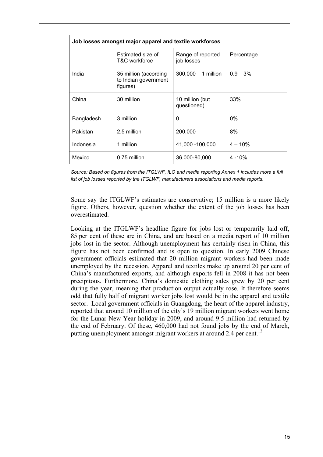| Job losses amongst major apparel and textile workforces |                                                           |                                 |             |  |
|---------------------------------------------------------|-----------------------------------------------------------|---------------------------------|-------------|--|
|                                                         | Estimated size of<br>T&C workforce                        | Range of reported<br>job losses | Percentage  |  |
| India                                                   | 35 million (according<br>to Indian government<br>figures) | 300,000 - 1 million             | $0.9 - 3\%$ |  |
| China                                                   | 30 million                                                | 10 million (but<br>questioned)  | 33%         |  |
| Bangladesh                                              | 3 million                                                 | 0                               | $0\%$       |  |
| Pakistan                                                | 2.5 million                                               | 200,000                         | 8%          |  |
| Indonesia                                               | 1 million                                                 | 41,000 - 100,000                | $4 - 10%$   |  |
| Mexico                                                  | 0.75 million                                              | 36,000-80,000                   | $4 - 10%$   |  |

*Source: Based on figures from the ITGLWF, ILO and media reporting Annex 1 includes more a full list of job losses reported by the ITGLWF, manufacturers associations and media reports.* 

Some say the ITGLWF's estimates are conservative; 15 million is a more likely figure. Others, however, question whether the extent of the job losses has been overestimated.

Looking at the ITGLWF's headline figure for jobs lost or temporarily laid off, 85 per cent of these are in China, and are based on a media report of 10 million jobs lost in the sector. Although unemployment has certainly risen in China, this figure has not been confirmed and is open to question. In early 2009 Chinese government officials estimated that 20 million migrant workers had been made unemployed by the recession. Apparel and textiles make up around 20 per cent of China's manufactured exports, and although exports fell in 2008 it has not been precipitous. Furthermore, China's domestic clothing sales grew by 20 per cent during the year, meaning that production output actually rose. It therefore seems odd that fully half of migrant worker jobs lost would be in the apparel and textile sector. Local government officials in Guangdong, the heart of the apparel industry, reported that around 10 million of the city's 19 million migrant workers went home for the Lunar New Year holiday in 2009, and around 9.5 million had returned by the end of February. Of these, 460,000 had not found jobs by the end of March, putting unemployment amongst migrant workers at around 2.4 per cent.<sup>12</sup>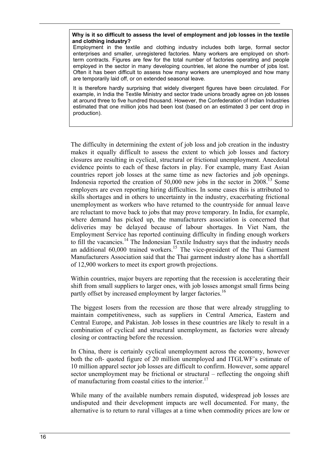#### **Why is it so difficult to assess the level of employment and job losses in the textile and clothing industry?**

Employment in the textile and clothing industry includes both large, formal sector enterprises and smaller, unregistered factories. Many workers are employed on shortterm contracts. Figures are few for the total number of factories operating and people employed in the sector in many developing countries, let alone the number of jobs lost. Often it has been difficult to assess how many workers are unemployed and how many are temporarily laid off, or on extended seasonal leave.

It is therefore hardly surprising that widely divergent figures have been circulated. For example, in India the Textile Ministry and sector trade unions broadly agree on job losses at around three to five hundred thousand. However, the Confederation of Indian Industries estimated that one million jobs had been lost (based on an estimated 3 per cent drop in production).

The difficulty in determining the extent of job loss and job creation in the industry makes it equally difficult to assess the extent to which job losses and factory closures are resulting in cyclical, structural or frictional unemployment. Anecdotal evidence points to each of these factors in play. For example, many East Asian countries report job losses at the same time as new factories and job openings. Indonesia reported the creation of  $50,000$  new jobs in the sector in  $2008<sup>13</sup>$  Some employers are even reporting hiring difficulties. In some cases this is attributed to skills shortages and in others to uncertainty in the industry, exacerbating frictional unemployment as workers who have returned to the countryside for annual leave are reluctant to move back to jobs that may prove temporary. In India, for example, where demand has picked up, the manufacturers association is concerned that deliveries may be delayed because of labour shortages. In Viet Nam, the Employment Service has reported continuing difficulty in finding enough workers to fill the vacancies.<sup>14</sup> The Indonesian Textile Industry says that the industry needs an additional  $60,000$  trained workers.<sup>15</sup> The vice-president of the Thai Garment Manufacturers Association said that the Thai garment industry alone has a shortfall of 12,900 workers to meet its export growth projections.

Within countries, major buyers are reporting that the recession is accelerating their shift from small suppliers to larger ones, with job losses amongst small firms being partly offset by increased employment by larger factories.<sup>16</sup>

The biggest losers from the recession are those that were already struggling to maintain competitiveness, such as suppliers in Central America, Eastern and Central Europe, and Pakistan. Job losses in these countries are likely to result in a combination of cyclical and structural unemployment, as factories were already closing or contracting before the recession.

In China, there is certainly cyclical unemployment across the economy, however both the oft- quoted figure of 20 million unemployed and ITGLWF's estimate of 10 million apparel sector job losses are difficult to confirm. However, some apparel sector unemployment may be frictional or structural – reflecting the ongoing shift of manufacturing from coastal cities to the interior.<sup>17</sup>

While many of the available numbers remain disputed, widespread job losses are undisputed and their development impacts are well documented. For many, the alternative is to return to rural villages at a time when commodity prices are low or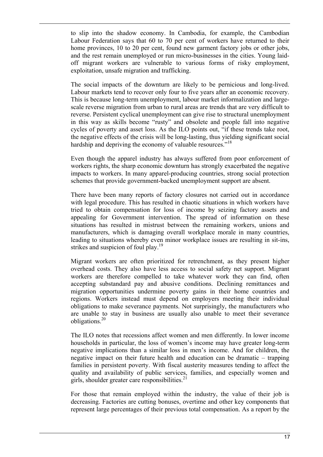to slip into the shadow economy. In Cambodia, for example, the Cambodian Labour Federation says that 60 to 70 per cent of workers have returned to their home provinces, 10 to 20 per cent, found new garment factory jobs or other jobs, and the rest remain unemployed or run micro-businesses in the cities. Young laidoff migrant workers are vulnerable to various forms of risky employment, exploitation, unsafe migration and trafficking.

The social impacts of the downturn are likely to be pernicious and long-lived. Labour markets tend to recover only four to five years after an economic recovery. This is because long-term unemployment, labour market informalization and largescale reverse migration from urban to rural areas are trends that are very difficult to reverse. Persistent cyclical unemployment can give rise to structural unemployment in this way as skills become "rusty" and obsolete and people fall into negative cycles of poverty and asset loss. As the ILO points out, "if these trends take root, the negative effects of the crisis will be long-lasting, thus yielding significant social hardship and depriving the economy of valuable resources."<sup>18</sup>

Even though the apparel industry has always suffered from poor enforcement of workers rights, the sharp economic downturn has strongly exacerbated the negative impacts to workers. In many apparel-producing countries, strong social protection schemes that provide government-backed unemployment support are absent.

There have been many reports of factory closures not carried out in accordance with legal procedure. This has resulted in chaotic situations in which workers have tried to obtain compensation for loss of income by seizing factory assets and appealing for Government intervention. The spread of information on these situations has resulted in mistrust between the remaining workers, unions and manufacturers, which is damaging overall workplace morale in many countries, leading to situations whereby even minor workplace issues are resulting in sit-ins, strikes and suspicion of foul play.<sup>19</sup>

Migrant workers are often prioritized for retrenchment, as they present higher overhead costs. They also have less access to social safety net support. Migrant workers are therefore compelled to take whatever work they can find, often accepting substandard pay and abusive conditions. Declining remittances and migration opportunities undermine poverty gains in their home countries and regions. Workers instead must depend on employers meeting their individual obligations to make severance payments. Not surprisingly, the manufacturers who are unable to stay in business are usually also unable to meet their severance obligations.20

The ILO notes that recessions affect women and men differently. In lower income households in particular, the loss of women's income may have greater long-term negative implications than a similar loss in men's income. And for children, the negative impact on their future health and education can be dramatic – trapping families in persistent poverty. With fiscal austerity measures tending to affect the quality and availability of public services, families, and especially women and girls, shoulder greater care responsibilities. $^{21}$ 

For those that remain employed within the industry, the value of their job is decreasing. Factories are cutting bonuses, overtime and other key components that represent large percentages of their previous total compensation. As a report by the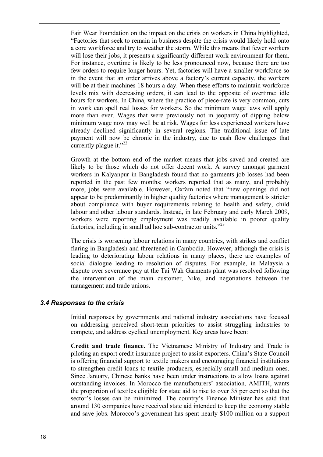Fair Wear Foundation on the impact on the crisis on workers in China highlighted, "Factories that seek to remain in business despite the crisis would likely hold onto a core workforce and try to weather the storm. While this means that fewer workers will lose their jobs, it presents a significantly different work environment for them. For instance, overtime is likely to be less pronounced now, because there are too few orders to require longer hours. Yet, factories will have a smaller workforce so in the event that an order arrives above a factory's current capacity, the workers will be at their machines 18 hours a day. When these efforts to maintain workforce levels mix with decreasing orders, it can lead to the opposite of overtime: idle hours for workers. In China, where the practice of piece-rate is very common, cuts in work can spell real losses for workers. So the minimum wage laws will apply more than ever. Wages that were previously not in jeopardy of dipping below minimum wage now may well be at risk. Wages for less experienced workers have already declined significantly in several regions. The traditional issue of late payment will now be chronic in the industry, due to cash flow challenges that currently plague it." $^{22}$ 

Growth at the bottom end of the market means that jobs saved and created are likely to be those which do not offer decent work. A survey amongst garment workers in Kalyanpur in Bangladesh found that no garments job losses had been reported in the past few months; workers reported that as many, and probably more, jobs were available. However, Oxfam noted that "new openings did not appear to be predominantly in higher quality factories where management is stricter about compliance with buyer requirements relating to health and safety, child labour and other labour standards. Instead, in late February and early March 2009, workers were reporting employment was readily available in poorer quality factories, including in small ad hoc sub-contractor units."<sup>23</sup>

The crisis is worsening labour relations in many countries, with strikes and conflict flaring in Bangladesh and threatened in Cambodia. However, although the crisis is leading to deteriorating labour relations in many places, there are examples of social dialogue leading to resolution of disputes. For example, in Malaysia a dispute over severance pay at the Tai Wah Garments plant was resolved following the intervention of the main customer, Nike, and negotiations between the management and trade unions.

## *3.4 Responses to the crisis*

Initial responses by governments and national industry associations have focused on addressing perceived short-term priorities to assist struggling industries to compete, and address cyclical unemployment. Key areas have been:

**Credit and trade finance.** The Vietnamese Ministry of Industry and Trade is piloting an export credit insurance project to assist exporters. China's State Council is offering financial support to textile makers and encouraging financial institutions to strengthen credit loans to textile producers, especially small and medium ones. Since January, Chinese banks have been under instructions to allow loans against outstanding invoices. In Morocco the manufacturers' association, AMITH, wants the proportion of textiles eligible for state aid to rise to over 35 per cent so that the sector's losses can be minimized. The country's Finance Minister has said that around 130 companies have received state aid intended to keep the economy stable and save jobs. Morocco's government has spent nearly \$100 million on a support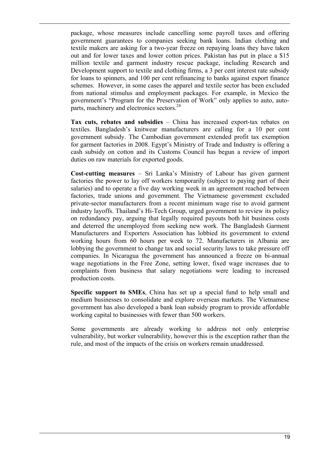package, whose measures include cancelling some payroll taxes and offering government guarantees to companies seeking bank loans. Indian clothing and textile makers are asking for a two-year freeze on repaying loans they have taken out and for lower taxes and lower cotton prices. Pakistan has put in place a \$15 million textile and garment industry rescue package, including Research and Development support to textile and clothing firms, a 3 per cent interest rate subsidy for loans to spinners, and 100 per cent refinancing to banks against export finance schemes. However, in some cases the apparel and textile sector has been excluded from national stimulus and employment packages. For example, in Mexico the government's "Program for the Preservation of Work" only applies to auto, autoparts, machinery and electronics sectors.<sup>24</sup>

**Tax cuts, rebates and subsidies** – China has increased export-tax rebates on textiles. Bangladesh's knitwear manufacturers are calling for a 10 per cent government subsidy. The Cambodian government extended profit tax exemption for garment factories in 2008. Egypt's Ministry of Trade and Industry is offering a cash subsidy on cotton and its Customs Council has begun a review of import duties on raw materials for exported goods.

**Cost-cutting measures** – Sri Lanka's Ministry of Labour has given garment factories the power to lay off workers temporarily (subject to paying part of their salaries) and to operate a five day working week in an agreement reached between factories, trade unions and government. The Vietnamese government excluded private-sector manufacturers from a recent minimum wage rise to avoid garment industry layoffs. Thailand's Hi-Tech Group, urged government to review its policy on redundancy pay, arguing that legally required payouts both hit business costs and deterred the unemployed from seeking new work. The Bangladesh Garment Manufacturers and Exporters Association has lobbied its government to extend working hours from 60 hours per week to 72. Manufacturers in Albania are lobbying the government to change tax and social security laws to take pressure off companies. In Nicaragua the government has announced a freeze on bi-annual wage negotiations in the Free Zone, setting lower, fixed wage increases due to complaints from business that salary negotiations were leading to increased production costs.

**Specific support to SMEs**, China has set up a special fund to help small and medium businesses to consolidate and explore overseas markets. The Vietnamese government has also developed a bank loan subsidy program to provide affordable working capital to businesses with fewer than 500 workers.

Some governments are already working to address not only enterprise vulnerability, but worker vulnerability, however this is the exception rather than the rule, and most of the impacts of the crisis on workers remain unaddressed.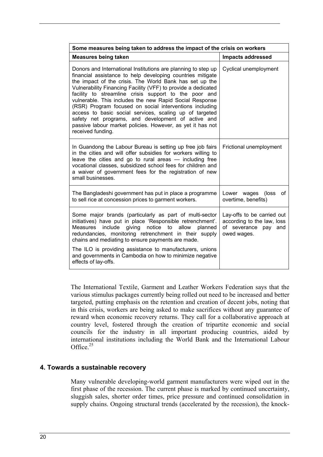| Some measures being taken to address the impact of the crisis on workers                                                                                                                                                                                                                                                                                                                                                                                                                                                                                                                                                                   |                                                                                                    |  |  |
|--------------------------------------------------------------------------------------------------------------------------------------------------------------------------------------------------------------------------------------------------------------------------------------------------------------------------------------------------------------------------------------------------------------------------------------------------------------------------------------------------------------------------------------------------------------------------------------------------------------------------------------------|----------------------------------------------------------------------------------------------------|--|--|
| <b>Measures being taken</b>                                                                                                                                                                                                                                                                                                                                                                                                                                                                                                                                                                                                                | <b>Impacts addressed</b>                                                                           |  |  |
| Donors and International Institutions are planning to step up<br>financial assistance to help developing countries mitigate<br>the impact of the crisis. The World Bank has set up the<br>Vulnerability Financing Facility (VFF) to provide a dedicated<br>facility to streamline crisis support to the poor and<br>vulnerable. This includes the new Rapid Social Response<br>(RSR) Program focused on social interventions including<br>access to basic social services, scaling up of targeted<br>safety net programs, and development of active and<br>passive labour market policies. However, as yet it has not<br>received funding. | Cyclical unemployment                                                                              |  |  |
| In Guandong the Labour Bureau is setting up free job fairs<br>in the cities and will offer subsidies for workers willing to<br>leave the cities and go to rural areas - including free<br>vocational classes, subsidized school fees for children and<br>a waiver of government fees for the registration of new<br>small businesses.                                                                                                                                                                                                                                                                                                      | Frictional unemployment                                                                            |  |  |
| The Bangladeshi government has put in place a programme<br>to sell rice at concession prices to garment workers.                                                                                                                                                                                                                                                                                                                                                                                                                                                                                                                           | Lower wages (loss<br>0f<br>overtime, benefits)                                                     |  |  |
| Some major brands (particularly as part of multi-sector<br>initiatives) have put in place 'Responsible retrenchment'.<br>Measures include giving notice to allow planned<br>redundancies, monitoring retrenchment in their supply<br>chains and mediating to ensure payments are made.<br>The ILO is providing assistance to manufacturers, unions<br>and governments in Cambodia on how to minimize negative<br>effects of lay-offs.                                                                                                                                                                                                      | Lay-offs to be carried out<br>according to the law, loss<br>of severance<br>pay and<br>owed wages. |  |  |

The International Textile, Garment and Leather Workers Federation says that the various stimulus packages currently being rolled out need to be increased and better targeted, putting emphasis on the retention and creation of decent jobs, noting that in this crisis, workers are being asked to make sacrifices without any guarantee of reward when economic recovery returns. They call for a collaborative approach at country level, fostered through the creation of tripartite economic and social councils for the industry in all important producing countries, aided by international institutions including the World Bank and the International Labour Office.<sup>25</sup>

## **4. Towards a sustainable recovery**

Many vulnerable developing-world garment manufacturers were wiped out in the first phase of the recession. The current phase is marked by continued uncertainty, sluggish sales, shorter order times, price pressure and continued consolidation in supply chains. Ongoing structural trends (accelerated by the recession), the knock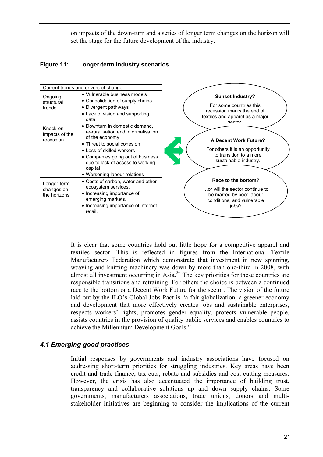on impacts of the down-turn and a series of longer term changes on the horizon will set the stage for the future development of the industry.

## **Figure 11: Longer-term industry scenarios**

|                                           | Current trends and drivers of change                                                                                                                                                                                                                                    |                                                                                                                               |
|-------------------------------------------|-------------------------------------------------------------------------------------------------------------------------------------------------------------------------------------------------------------------------------------------------------------------------|-------------------------------------------------------------------------------------------------------------------------------|
| Ongoing<br>structural<br>trends           | • Vulnerable business models<br>• Consolidation of supply chains<br>• Divergent pathways<br>• Lack of vision and supporting<br>data                                                                                                                                     | <b>Sunset Industry?</b><br>For some countries this<br>recession marks the end of<br>textiles and apparel as a major<br>sector |
| Knock-on<br>impacts of the<br>recession   | • Downturn in domestic demand,<br>re-ruralisation and informalisation<br>of the economy<br>• Threat to social cohesion<br>• Loss of skilled workers<br>• Companies going out of business<br>due to lack of access to working<br>capital<br>• Worsening labour relations | <b>A Decent Work Future?</b><br>For others it is an opportunity<br>to transition to a more<br>sustainable industry.           |
| Longer-term<br>changes on<br>the horizons | • Costs of carbon, water and other<br>ecosystem services.<br>• Increasing importance of<br>emerging markets.<br>• Increasing importance of internet<br>retail.                                                                                                          | Race to the bottom?<br>or will the sector continue to<br>be marred by poor labour<br>conditions, and vulnerable<br>iobs?      |

It is clear that some countries hold out little hope for a competitive apparel and textiles sector. This is reflected in figures from the International Textile Manufacturers Federation which demonstrate that investment in new spinning, weaving and knitting machinery was down by more than one-third in 2008, with almost all investment occurring in Asia.26 The key priorities for these countries are responsible transitions and retraining. For others the choice is between a continued race to the bottom or a Decent Work Future for the sector. The vision of the future laid out by the ILO's Global Jobs Pact is "a fair globalization, a greener economy and development that more effectively creates jobs and sustainable enterprises, respects workers' rights, promotes gender equality, protects vulnerable people, assists countries in the provision of quality public services and enables countries to achieve the Millennium Development Goals."

## *4.1 Emerging good practices*

Initial responses by governments and industry associations have focused on addressing short-term priorities for struggling industries. Key areas have been credit and trade finance, tax cuts, rebate and subsidies and cost-cutting measures. However, the crisis has also accentuated the importance of building trust, transparency and collaborative solutions up and down supply chains. Some governments, manufacturers associations, trade unions, donors and multistakeholder initiatives are beginning to consider the implications of the current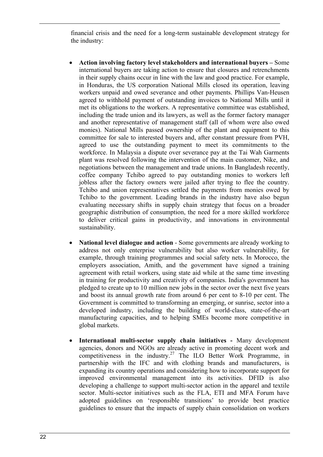financial crisis and the need for a long-term sustainable development strategy for the industry:

- **Action involving factory level stakeholders and international buyers** Some international buyers are taking action to ensure that closures and retrenchments in their supply chains occur in line with the law and good practice. For example, in Honduras, the US corporation National Mills closed its operation, leaving workers unpaid and owed severance and other payments. Phillips Van-Heusen agreed to withhold payment of outstanding invoices to National Mills until it met its obligations to the workers. A representative committee was established, including the trade union and its lawyers, as well as the former factory manager and another representative of management staff (all of whom were also owed monies). National Mills passed ownership of the plant and equipment to this committee for sale to interested buyers and, after constant pressure from PVH, agreed to use the outstanding payment to meet its commitments to the workforce. In Malaysia a dispute over severance pay at the Tai Wah Garments plant was resolved following the intervention of the main customer, Nike, and negotiations between the management and trade unions. In Bangladesh recently, coffee company Tchibo agreed to pay outstanding monies to workers left jobless after the factory owners were jailed after trying to flee the country. Tchibo and union representatives settled the payments from monies owed by Tchibo to the government. Leading brands in the industry have also begun evaluating necessary shifts in supply chain strategy that focus on a broader geographic distribution of consumption, the need for a more skilled workforce to deliver critical gains in productivity, and innovations in environmental sustainability.
- **National level dialogue and action** Some governments are already working to address not only enterprise vulnerability but also worker vulnerability, for example, through training programmes and social safety nets. In Morocco, the employers association, Amith, and the government have signed a training agreement with retail workers, using state aid while at the same time investing in training for productivity and creativity of companies. India's government has pledged to create up to 10 million new jobs in the sector over the next five years and boost its annual growth rate from around 6 per cent to 8-10 per cent. The Government is committed to transforming an emerging, or sunrise, sector into a developed industry, including the building of world-class, state-of-the-art manufacturing capacities, and to helping SMEs become more competitive in global markets.
- **International multi-sector supply chain initiatives** Many development agencies, donors and NGOs are already active in promoting decent work and competitiveness in the industry.<sup>27</sup> The ILO Better Work Programme, in partnership with the IFC and with clothing brands and manufacturers, is expanding its country operations and considering how to incorporate support for improved environmental management into its activities. DFID is also developing a challenge to support multi-sector action in the apparel and textile sector. Multi-sector initiatives such as the FLA, ETI and MFA Forum have adopted guidelines on 'responsible transitions' to provide best practice guidelines to ensure that the impacts of supply chain consolidation on workers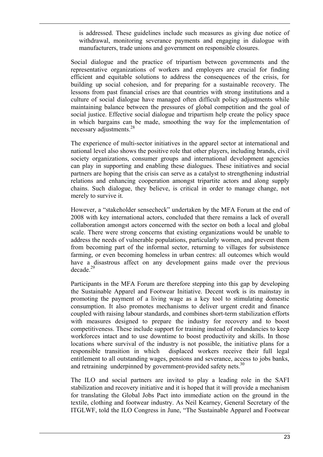is addressed. These guidelines include such measures as giving due notice of withdrawal, monitoring severance payments and engaging in dialogue with manufacturers, trade unions and government on responsible closures.

Social dialogue and the practice of tripartism between governments and the representative organizations of workers and employers are crucial for finding efficient and equitable solutions to address the consequences of the crisis, for building up social cohesion, and for preparing for a sustainable recovery. The lessons from past financial crises are that countries with strong institutions and a culture of social dialogue have managed often difficult policy adjustments while maintaining balance between the pressures of global competition and the goal of social justice. Effective social dialogue and tripartism help create the policy space in which bargains can be made, smoothing the way for the implementation of necessary adjustments.<sup>28</sup>

The experience of multi-sector initiatives in the apparel sector at international and national level also shows the positive role that other players, including brands, civil society organizations, consumer groups and international development agencies can play in supporting and enabling these dialogues. These initiatives and social partners are hoping that the crisis can serve as a catalyst to strengthening industrial relations and enhancing cooperation amongst tripartite actors and along supply chains. Such dialogue, they believe, is critical in order to manage change, not merely to survive it.

However, a "stakeholder sensecheck" undertaken by the MFA Forum at the end of 2008 with key international actors, concluded that there remains a lack of overall collaboration amongst actors concerned with the sector on both a local and global scale. There were strong concerns that existing organizations would be unable to address the needs of vulnerable populations, particularly women, and prevent them from becoming part of the informal sector, returning to villages for subsistence farming, or even becoming homeless in urban centres: all outcomes which would have a disastrous affect on any development gains made over the previous  $decade.<sup>29</sup>$ 

Participants in the MFA Forum are therefore stepping into this gap by developing the Sustainable Apparel and Footwear Initiative. Decent work is its mainstay in promoting the payment of a living wage as a key tool to stimulating domestic consumption. It also promotes mechanisms to deliver urgent credit and finance coupled with raising labour standards, and combines short-term stabilization efforts with measures designed to prepare the industry for recovery and to boost competitiveness. These include support for training instead of redundancies to keep workforces intact and to use downtime to boost productivity and skills. In those locations where survival of the industry is not possible, the initiative plans for a responsible transition in which displaced workers receive their full legal entitlement to all outstanding wages, pensions and severance, access to jobs banks, and retraining underpinned by government-provided safety nets.<sup>30</sup>

The ILO and social partners are invited to play a leading role in the SAFI stabilization and recovery initiative and it is hoped that it will provide a mechanism for translating the Global Jobs Pact into immediate action on the ground in the textile, clothing and footwear industry. As Neil Kearney, General Secretary of the ITGLWF, told the ILO Congress in June, "The Sustainable Apparel and Footwear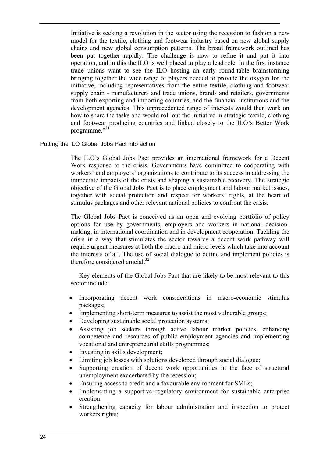Initiative is seeking a revolution in the sector using the recession to fashion a new model for the textile, clothing and footwear industry based on new global supply chains and new global consumption patterns. The broad framework outlined has been put together rapidly. The challenge is now to refine it and put it into operation, and in this the ILO is well placed to play a lead role. In the first instance trade unions want to see the ILO hosting an early round-table brainstorming bringing together the wide range of players needed to provide the oxygen for the initiative, including representatives from the entire textile, clothing and footwear supply chain - manufacturers and trade unions, brands and retailers, governments from both exporting and importing countries, and the financial institutions and the development agencies. This unprecedented range of interests would then work on how to share the tasks and would roll out the initiative in strategic textile, clothing and footwear producing countries and linked closely to the ILO's Better Work programme."31"

## Putting the ILO Global Jobs Pact into action

The ILO's Global Jobs Pact provides an international framework for a Decent Work response to the crisis. Governments have committed to cooperating with workers' and employers' organizations to contribute to its success in addressing the immediate impacts of the crisis and shaping a sustainable recovery. The strategic objective of the Global Jobs Pact is to place employment and labour market issues, together with social protection and respect for workers' rights, at the heart of stimulus packages and other relevant national policies to confront the crisis.

The Global Jobs Pact is conceived as an open and evolving portfolio of policy options for use by governments, employers and workers in national decisionmaking, in international coordination and in development cooperation. Tackling the crisis in a way that stimulates the sector towards a decent work pathway will require urgent measures at both the macro and micro levels which take into account the interests of all. The use of social dialogue to define and implement policies is therefore considered crucial. $32$ 

 Key elements of the Global Jobs Pact that are likely to be most relevant to this sector include:

- Incorporating decent work considerations in macro-economic stimulus packages;
- Implementing short-term measures to assist the most vulnerable groups;
- Developing sustainable social protection systems;
- Assisting job seekers through active labour market policies, enhancing competence and resources of public employment agencies and implementing vocational and entrepreneurial skills programmes;
- Investing in skills development;
- Limiting job losses with solutions developed through social dialogue;
- Supporting creation of decent work opportunities in the face of structural unemployment exacerbated by the recession;
- Ensuring access to credit and a favourable environment for SMEs;
- Implementing a supportive regulatory environment for sustainable enterprise creation;
- Strengthening capacity for labour administration and inspection to protect workers rights;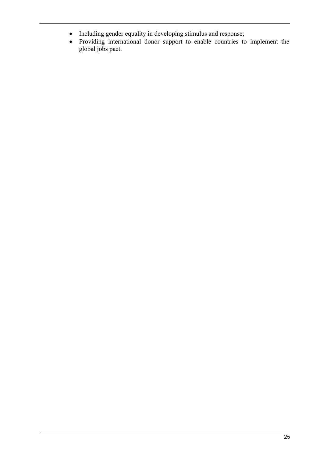- Including gender equality in developing stimulus and response;
- Providing international donor support to enable countries to implement the global jobs pact.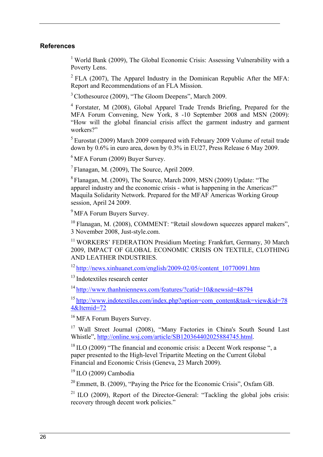## **References**

<sup>1</sup> World Bank (2009), The Global Economic Crisis: Assessing Vulnerability with a Poverty Lens.

 $2$  FLA (2007), The Apparel Industry in the Dominican Republic After the MFA: Report and Recommendations of an FLA Mission.

3 Clothesource (2009), "The Gloom Deepens", March 2009.

4 Forstater, M (2008), Global Apparel Trade Trends Briefing, Prepared for the MFA Forum Convening, New York, 8 -10 September 2008 and MSN (2009): "How will the global financial crisis affect the garment industry and garment workers?"

5 Eurostat (2009) March 2009 compared with February 2009 Volume of retail trade down by 0.6% in euro area, down by 0.3% in EU27, Press Release 6 May 2009.

 $6$  MFA Forum (2009) Buyer Survey.

 $<sup>7</sup>$  Flanagan, M. (2009). The Source, April 2009.</sup>

8 Flanagan, M. (2009), The Source, March 2009, MSN (2009) Update: "The apparel industry and the economic crisis - what is happening in the Americas?" Maquila Solidarity Network. Prepared for the MFAF Americas Working Group session, April 24 2009.

<sup>9</sup> MFA Forum Buyers Survey.

<sup>10</sup> Flanagan, M. (2008), COMMENT: "Retail slowdown squeezes apparel makers", 3 November 2008, Just-style.com.

<sup>11</sup> WORKERS' FEDERATION Presidium Meeting: Frankfurt, Germany, 30 March 2009, IMPACT OF GLOBAL ECONOMIC CRISIS ON TEXTILE, CLOTHING AND LEATHER INDUSTRIES.

 $12$  http://news.xinhuanet.com/english/2009-02/05/content\_10770091.htm

<sup>13</sup> Indotextiles research center

14 http://www.thanhniennews.com/features/?catid=10&newsid=48794

<sup>15</sup> http://www.indotextiles.com/index.php?option=com\_content&task=view&id=78 4&Itemid=72

16 MFA Forum Buyers Survey.

<sup>17</sup> Wall Street Journal (2008), "Many Factories in China's South Sound Last Whistle", http://online.wsj.com/article/SB120364402025884745.html.

 $18$  ILO (2009) "The financial and economic crisis: a Decent Work response", a paper presented to the High-level Tripartite Meeting on the Current Global Financial and Economic Crisis (Geneva, 23 March 2009).

19 ILO (2009) Cambodia

20 Emmett, B. (2009), "Paying the Price for the Economic Crisis", Oxfam GB.

<sup>21</sup> ILO (2009), Report of the Director-General: "Tackling the global jobs crisis: recovery through decent work policies."